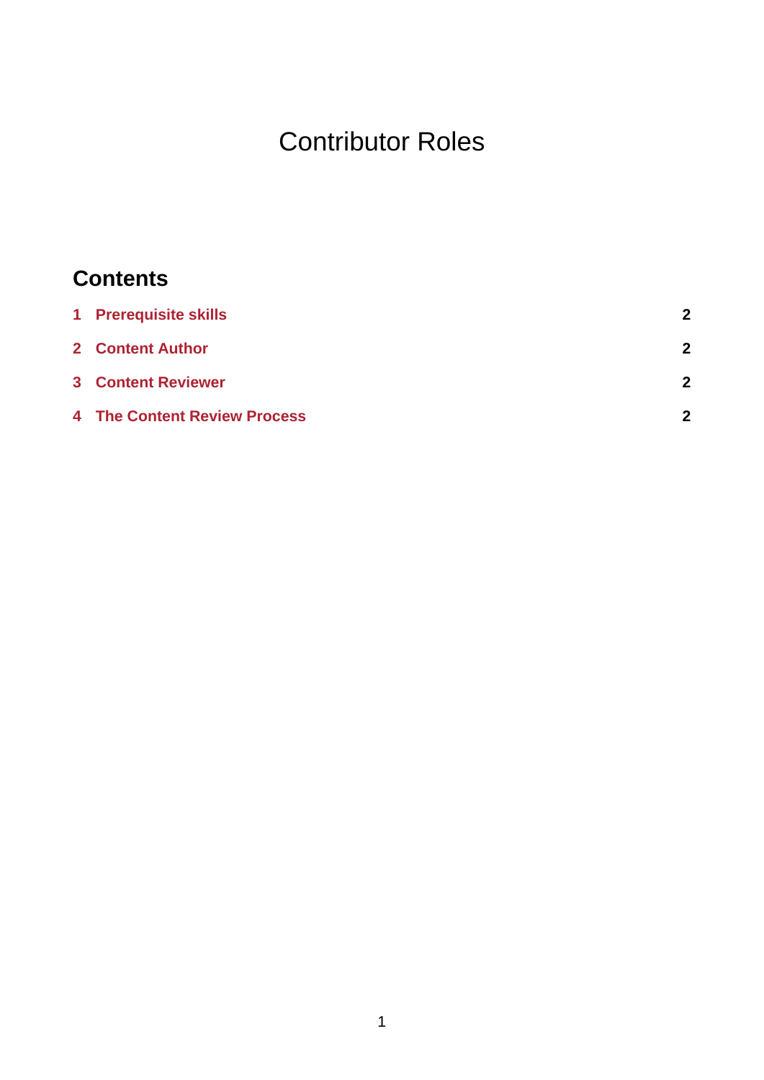# Contributor Roles

## **Contents**

| 1 Prerequisite skills               | 2 |
|-------------------------------------|---|
| 2 Content Author                    | 2 |
| <b>3</b> Content Reviewer           | 2 |
| <b>4 The Content Review Process</b> | 2 |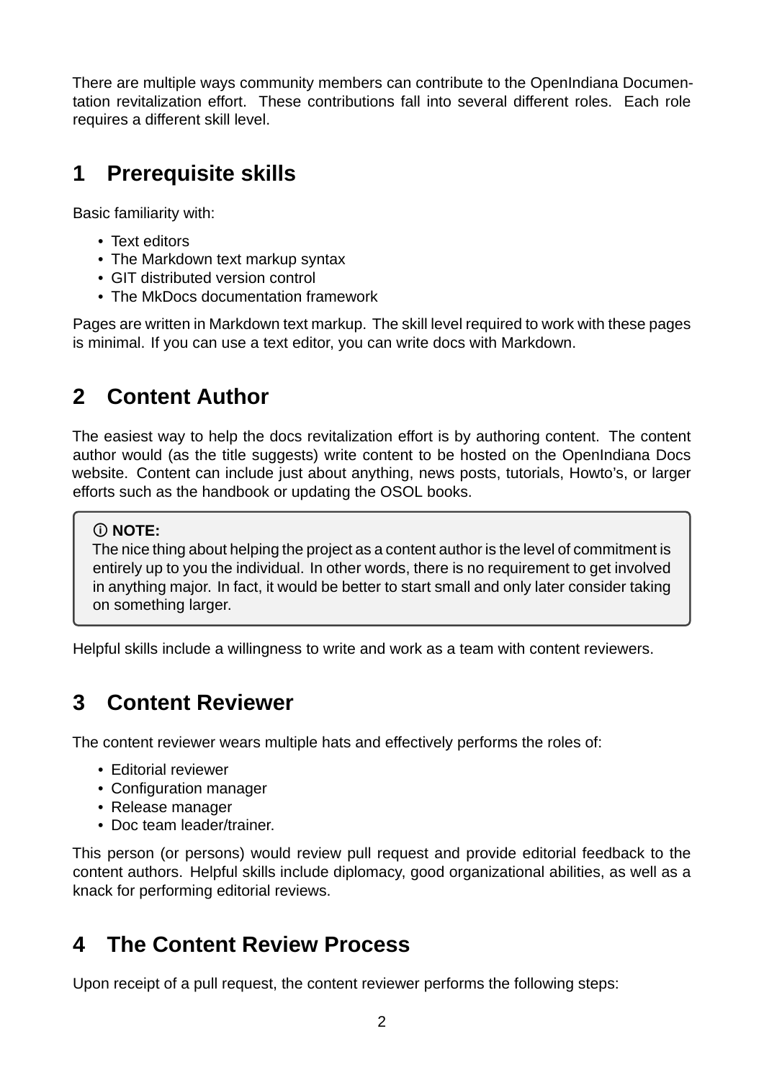There are multiple ways community members can contribute to the OpenIndiana Documentation revitalization effort. These contributions fall into several different roles. Each role requires a different skill level.

#### <span id="page-1-0"></span>**1 Prerequisite skills**

Basic familiarity with:

- Text editors
- The Markdown text markup syntax
- GIT distributed version control
- The MkDocs documentation framework

Pages are written in Markdown text markup. The skill level required to work with these pages is minimal. If you can use a text editor, you can write docs with Markdown.

### <span id="page-1-1"></span>**2 Content Author**

The easiest way to help the docs revitalization effort is by authoring content. The content author would (as the title suggests) write content to be hosted on the OpenIndiana Docs website. Content can include just about anything, news posts, tutorials, Howto's, or larger efforts such as the handbook or updating the OSOL books.

#### **NOTE:**

The nice thing about helping the project as a content author is the level of commitment is entirely up to you the individual. In other words, there is no requirement to get involved in anything major. In fact, it would be better to start small and only later consider taking on something larger.

Helpful skills include a willingness to write and work as a team with content reviewers.

### **3 Content Reviewer**

The content reviewer wears multiple hats and effectively performs the roles of:

- Editorial reviewer
- Configuration manager
- Release manager
- Doc team leader/trainer.

This person (or persons) would review pull request and provide editorial feedback to the content authors. Helpful skills include diplomacy, good organizational abilities, as well as a knack for performing editorial reviews.

#### **4 The Content Review Process**

Upon receipt of a pull request, the content reviewer performs the following steps: